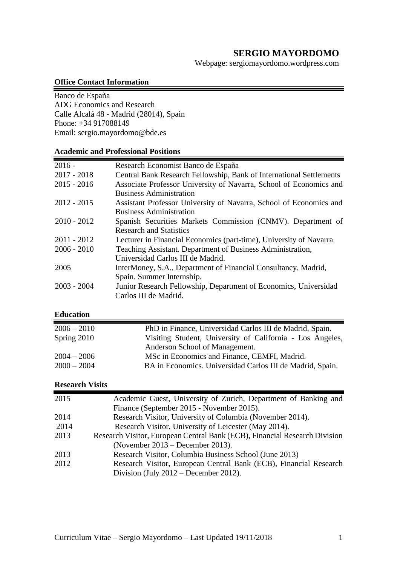# **SERGIO MAYORDOMO**

Webpage: sergiomayordomo.wordpress.com

#### **Office Contact Information**

Banco de España ADG Economics and Research Calle Alcalá 48 - Madrid (28014), Spain Phone: +34 917088149 Email: [sergio.mayordomo@bde.es](mailto:sergio.mayordomo@bde.es)

## **Academic and Professional Positions**

| $2016 -$      | Research Economist Banco de España                                  |
|---------------|---------------------------------------------------------------------|
| $2017 - 2018$ | Central Bank Research Fellowship, Bank of International Settlements |
| $2015 - 2016$ | Associate Professor University of Navarra, School of Economics and  |
|               | <b>Business Administration</b>                                      |
| $2012 - 2015$ | Assistant Professor University of Navarra, School of Economics and  |
|               | <b>Business Administration</b>                                      |
| $2010 - 2012$ | Spanish Securities Markets Commission (CNMV). Department of         |
|               | <b>Research and Statistics</b>                                      |
| $2011 - 2012$ | Lecturer in Financial Economics (part-time), University of Navarra  |
| $2006 - 2010$ | Teaching Assistant. Department of Business Administration,          |
|               | Universidad Carlos III de Madrid.                                   |
| 2005          | InterMoney, S.A., Department of Financial Consultancy, Madrid,      |
|               | Spain. Summer Internship.                                           |
| $2003 - 2004$ | Junior Research Fellowship, Department of Economics, Universidad    |
|               | Carlos III de Madrid.                                               |

## **Education**

| $2006 - 2010$ | PhD in Finance, Universidad Carlos III de Madrid, Spain.  |
|---------------|-----------------------------------------------------------|
| Spring 2010   | Visiting Student, University of California - Los Angeles, |
|               | Anderson School of Management.                            |
| $2004 - 2006$ | MSc in Economics and Finance, CEMFI, Madrid.              |
| $2000 - 2004$ | BA in Economics. Universidad Carlos III de Madrid, Spain. |

## **Research Visits**

| 2015 | Academic Guest, University of Zurich, Department of Banking and            |
|------|----------------------------------------------------------------------------|
|      | Finance (September 2015 - November 2015).                                  |
| 2014 | Research Visitor, University of Columbia (November 2014).                  |
| 2014 | Research Visitor, University of Leicester (May 2014).                      |
| 2013 | Research Visitor, European Central Bank (ECB), Financial Research Division |
|      | (November $2013$ – December 2013).                                         |
| 2013 | Research Visitor, Columbia Business School (June 2013)                     |
| 2012 | Research Visitor, European Central Bank (ECB), Financial Research          |
|      | Division (July $2012$ – December 2012).                                    |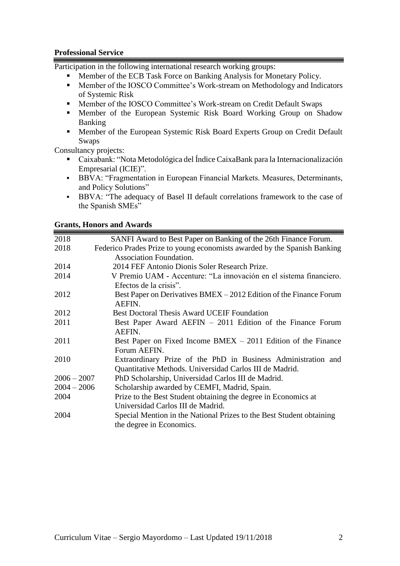## **Professional Service**

Participation in the following international research working groups:

- Member of the ECB Task Force on Banking Analysis for Monetary Policy.<br>• Member of the IOSCO Committee's Work-stream on Methodology and Indi
- Member of the IOSCO Committee's Work-stream on Methodology and Indicators of Systemic Risk
- Member of the IOSCO Committee's Work-stream on Credit Default Swaps
- Member of the European Systemic Risk Board Working Group on Shadow Banking
- Member of the European Systemic Risk Board Experts Group on Credit Default Swaps

Consultancy projects:

- Caixabank: "Nota Metodológica del Índice CaixaBank para la Internacionalización Empresarial (ICIE)".
- BBVA: "Fragmentation in European Financial Markets. Measures, Determinants, and Policy Solutions"
- BBVA: "The adequacy of Basel II default correlations framework to the case of the Spanish SMEs"

## **Grants, Honors and Awards**

| 2018          | SANFI Award to Best Paper on Banking of the 26th Finance Forum.          |
|---------------|--------------------------------------------------------------------------|
| 2018          | Federico Prades Prize to young economists awarded by the Spanish Banking |
|               | Association Foundation.                                                  |
| 2014          | 2014 FEF Antonio Dionis Soler Research Prize.                            |
| 2014          | V Premio UAM - Accenture: "La innovación en el sistema financiero.       |
|               | Efectos de la crisis".                                                   |
| 2012          | Best Paper on Derivatives BMEX – 2012 Edition of the Finance Forum       |
|               | AEFIN.                                                                   |
| 2012          | <b>Best Doctoral Thesis Award UCEIF Foundation</b>                       |
| 2011          | Best Paper Award AEFIN – 2011 Edition of the Finance Forum               |
|               | AEFIN.                                                                   |
| 2011          | Best Paper on Fixed Income $BMEX - 2011$ Edition of the Finance          |
|               | Forum AEFIN.                                                             |
| 2010          | Extraordinary Prize of the PhD in Business Administration and            |
|               | Quantitative Methods. Universidad Carlos III de Madrid.                  |
| $2006 - 2007$ | PhD Scholarship, Universidad Carlos III de Madrid.                       |
| $2004 - 2006$ | Scholarship awarded by CEMFI, Madrid, Spain.                             |
| 2004          | Prize to the Best Student obtaining the degree in Economics at           |
|               | Universidad Carlos III de Madrid.                                        |
| 2004          | Special Mention in the National Prizes to the Best Student obtaining     |
|               | the degree in Economics.                                                 |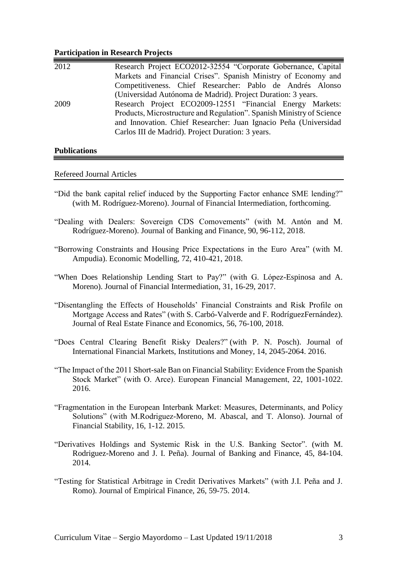#### **Participation in Research Projects**

| 2012 | Research Project ECO2012-32554 "Corporate Gobernance, Capital         |
|------|-----------------------------------------------------------------------|
|      | Markets and Financial Crises". Spanish Ministry of Economy and        |
|      | Competitiveness. Chief Researcher: Pablo de Andrés Alonso             |
|      | (Universidad Autónoma de Madrid). Project Duration: 3 years.          |
| 2009 | Research Project ECO2009-12551 "Financial Energy Markets:             |
|      | Products, Microstructure and Regulation". Spanish Ministry of Science |
|      | and Innovation. Chief Researcher: Juan Ignacio Peña (Universidad      |
|      | Carlos III de Madrid). Project Duration: 3 years.                     |
|      |                                                                       |

## **Publications**

#### Refereed Journal Articles

- "Did the bank capital relief induced by the Supporting Factor enhance SME lending?" (with M. Rodríguez-Moreno). Journal of Financial Intermediation, forthcoming.
- "Dealing with Dealers: Sovereign CDS Comovements" (with M. Antón and M. Rodríguez-Moreno). Journal of Banking and Finance, 90, 96-112, 2018.
- "Borrowing Constraints and Housing Price Expectations in the Euro Area" (with M. Ampudia). Economic Modelling, 72, 410-421, 2018.
- "When Does Relationship Lending Start to Pay?" (with G. López-Espinosa and A. Moreno). Journal of Financial Intermediation, 31, 16-29, 2017.
- "Disentangling the Effects of Households' Financial Constraints and Risk Profile on Mortgage Access and Rates" (with S. Carbó-Valverde and F. RodríguezFernández). Journal of Real Estate Finance and Economics, 56, 76-100, 2018.
- ["Does Central Clearing Benefit Risky Dealers?"](http://papers.ssrn.com/sol3/papers.cfm?abstract_id=2543986) (with P. N. Posch). Journal of International Financial Markets, Institutions and Money, 14, 2045-2064. 2016.
- "The Impact of the 2011 Short-sale Ban on Financial Stability: Evidence From the Spanish Stock Market" (with O. Arce). European Financial Management, 22, 1001-1022. 2016.
- "Fragmentation in the European Interbank Market: Measures, Determinants, and Policy Solutions" (with M.Rodriguez-Moreno, M. Abascal, and T. Alonso). Journal of Financial Stability, 16, 1-12. 2015.
- "Derivatives Holdings and Systemic Risk in the U.S. Banking Sector". (with M. Rodriguez-Moreno and J. I. Peña). Journal of Banking and Finance, 45, 84-104. 2014.
- "Testing for Statistical Arbitrage in Credit Derivatives Markets" (with J.I. Peña and J. Romo). Journal of Empirical Finance, 26, 59-75. 2014.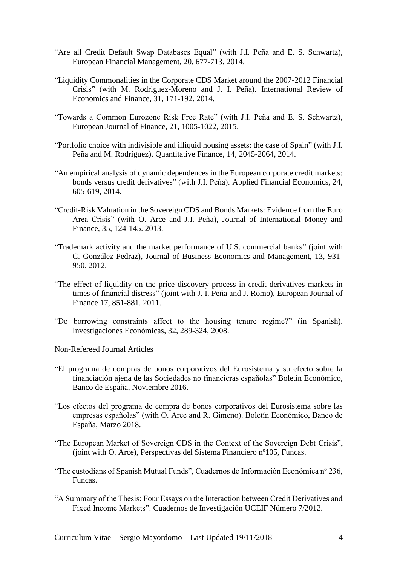- "Are all Credit Default Swap Databases Equal" (with J.I. Peña and E. S. Schwartz), European Financial Management, 20, 677-713. 2014.
- "Liquidity Commonalities in the Corporate CDS Market around the 2007-2012 Financial Crisis" (with M. Rodriguez-Moreno and J. I. Peña). International Review of Economics and Finance, 31, 171-192. 2014.
- "Towards a Common Eurozone Risk Free Rate" (with J.I. Peña and E. S. Schwartz), European Journal of Finance, 21, 1005-1022, 2015.
- "Portfolio choice with indivisible and illiquid housing assets: the case of Spain" (with J.I. Peña and M. Rodríguez). Quantitative Finance, 14, 2045-2064, 2014.
- "An empirical analysis of dynamic dependences in the European corporate credit markets: bonds versus credit derivatives" (with J.I. Peña). Applied Financial Economics, 24, 605-619, 2014.
- "Credit-Risk Valuation in the Sovereign CDS and Bonds Markets: Evidence from the Euro Area Crisis" (with O. Arce and J.I. Peña), Journal of International Money and Finance, 35, 124-145. 2013.
- "Trademark activity and the market performance of U.S. commercial banks" (joint with C. González-Pedraz), Journal of Business Economics and Management, 13, 931- 950. 2012.
- "The effect of liquidity on the price discovery process in credit derivatives markets in times of financial distress" (joint with J. I. Peña and J. Romo), European Journal of Finance 17, 851-881. 2011.
- "Do borrowing constraints affect to the housing tenure regime?" (in Spanish). Investigaciones Económicas, 32, 289-324, 2008.

Non-Refereed Journal Articles

- "El programa de compras de bonos corporativos del Eurosistema y su efecto sobre la financiación ajena de las Sociedades no financieras españolas" Boletín Económico, Banco de España, Noviembre 2016.
- "Los efectos del programa de compra de bonos corporativos del Eurosistema sobre las empresas españolas" (with O. Arce and R. Gimeno). Boletín Económico, Banco de España, Marzo 2018.
- "The European Market of Sovereign CDS in the Context of the Sovereign Debt Crisis", (joint with O. Arce), Perspectivas del Sistema Financiero nº105, Funcas.
- "The custodians of Spanish Mutual Funds", Cuadernos de Información Económica nº 236, Funcas.
- "A Summary of the Thesis: Four Essays on the Interaction between Credit Derivatives and Fixed Income Markets". Cuadernos de Investigación UCEIF Número 7/2012.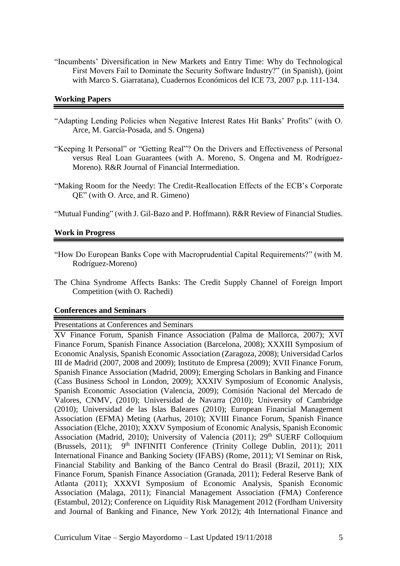"Incumbents' Diversification in New Markets and Entry Time: Why do Technological First Movers Fail to Dominate the Security Software Industry?" (in Spanish), (joint with Marco S. Giarratana), Cuadernos Económicos del ICE 73, 2007 p.p. 111-134.

#### **Working Papers**

- "Adapting Lending Policies when Negative Interest Rates Hit Banks' Profits" (with O. Arce, M. García-Posada, and S. Ongena)
- "Keeping It Personal" or "Getting Real"? On the Drivers and Effectiveness of Personal versus Real Loan Guarantees (with A. Moreno, S. Ongena and M. Rodríguez-Moreno). R&R Journal of Financial Intermediation.
- "Making Room for the Needy: The Credit-Reallocation Effects of the ECB's Corporate QE" (with O. Arce, and R. Gimeno)

"Mutual Funding" (with J. Gil-Bazo and P. Hoffmann). R&R Review of Financial Studies.

### **Work in Progress**

- "How Do European Banks Cope with Macroprudential Capital Requirements?" (with M. Rodríguez-Moreno)
- The China Syndrome Affects Banks: The Credit Supply Channel of Foreign Import Competition (with O. Rachedi)

#### **Conferences and Seminars**

#### Presentations at Conferences and Seminars

XV Finance Forum, Spanish Finance Association (Palma de Mallorca, 2007); XVI Finance Forum, Spanish Finance Association (Barcelona, 2008); XXXIII Symposium of Economic Analysis, Spanish Economic Association (Zaragoza, 2008); Universidad Carlos III de Madrid (2007, 2008 and 2009); Instituto de Empresa (2009); XVII Finance Forum, Spanish Finance Association (Madrid, 2009); Emerging Scholars in Banking and Finance (Cass Business School in London, 2009); XXXIV Symposium of Economic Analysis, Spanish Economic Association (Valencia, 2009); Comisión Nacional del Mercado de Valores, CNMV, (2010); Universidad de Navarra (2010); University of Cambridge (2010); Universidad de las Islas Baleares (2010); European Financial Management Association (EFMA) Meting (Aarhus, 2010); XVIII Finance Forum, Spanish Finance Association (Elche, 2010); XXXV Symposium of Economic Analysis, Spanish Economic Association (Madrid, 2010); University of Valencia (2011); 29<sup>th</sup> SUERF Colloquium (Brussels, 2011);  $9<sup>th</sup> INFINITE Conference (Trinity College Dublin, 2011); 2011$ International Finance and Banking Society (IFABS) (Rome, 2011); VI Seminar on Risk, Financial Stability and Banking of the Banco Central do Brasil (Brazil, 2011); XIX Finance Forum, Spanish Finance Association (Granada, 2011); Federal Reserve Bank of Atlanta (2011); XXXVI Symposium of Economic Analysis, Spanish Economic Association (Malaga, 2011); Financial Management Association (FMA) Conference (Estambul, 2012); Conference on Liquidity Risk Management 2012 (Fordham University and Journal of Banking and Finance, New York 2012); 4th International Finance and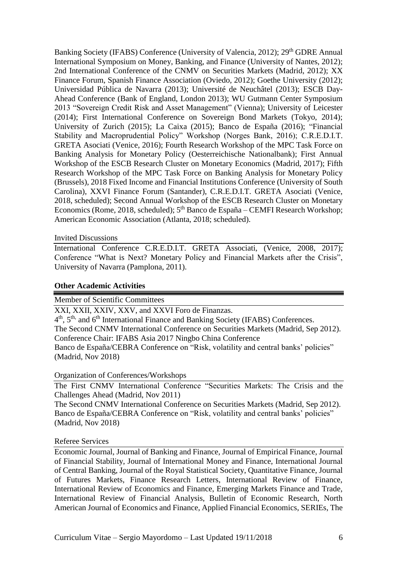Banking Society (IFABS) Conference (University of Valencia, 2012); 29<sup>th</sup> GDRE Annual International Symposium on Money, Banking, and Finance (University of Nantes, 2012); 2nd International Conference of the CNMV on Securities Markets (Madrid, 2012); XX Finance Forum, Spanish Finance Association (Oviedo, 2012); Goethe University (2012); Universidad Pública de Navarra (2013); Université de Neuchâtel (2013); ESCB Day-Ahead Conference (Bank of England, London 2013); WU Gutmann Center Symposium 2013 "Sovereign Credit Risk and Asset Management" (Vienna); University of Leicester (2014); First International Conference on Sovereign Bond Markets (Tokyo, 2014); University of Zurich (2015); La Caixa (2015); Banco de España (2016); "Financial Stability and Macroprudential Policy" Workshop (Norges Bank, 2016); C.R.E.D.I.T. GRETA Asociati (Venice, 2016); Fourth Research Workshop of the MPC Task Force on Banking Analysis for Monetary Policy (Oesterreichische Nationalbank); First Annual Workshop of the ESCB Research Cluster on Monetary Economics (Madrid, 2017); Fifth Research Workshop of the MPC Task Force on Banking Analysis for Monetary Policy (Brussels), 2018 Fixed Income and Financial Institutions Conference (University of South Carolina), XXVI Finance Forum (Santander), C.R.E.D.I.T. GRETA Asociati (Venice, 2018, scheduled); Second Annual Workshop of the ESCB Research Cluster on Monetary Economics (Rome, 2018, scheduled); 5<sup>th</sup> Banco de España – CEMFI Research Workshop; American Economic Association (Atlanta, 2018; scheduled).

#### Invited Discussions

International Conference C.R.E.D.I.T. GRETA Associati, (Venice, 2008, 2017); Conference "What is Next? Monetary Policy and Financial Markets after the Crisis", University of Navarra (Pamplona, 2011).

### **Other Academic Activities**

Member of Scientific Committees

XXI, XXII, XXIV, XXV, and XXVI Foro de Finanzas.

4<sup>th</sup>, 5<sup>th,</sup> and 6<sup>th</sup> International Finance and Banking Society (IFABS) Conferences.

The Second CNMV International Conference on Securities Markets (Madrid, Sep 2012). Conference Chair: IFABS Asia 2017 Ningbo China Conference

Banco de España/CEBRA Conference on "Risk, volatility and central banks' policies" (Madrid, Nov 2018)

### Organization of Conferences/Workshops

The First CNMV International Conference "Securities Markets: The Crisis and the Challenges Ahead (Madrid, Nov 2011)

The Second CNMV International Conference on Securities Markets (Madrid, Sep 2012). Banco de España/CEBRA Conference on "Risk, volatility and central banks' policies" (Madrid, Nov 2018)

### Referee Services

Economic Journal, Journal of Banking and Finance, Journal of Empirical Finance, Journal of Financial Stability, Journal of International Money and Finance, International Journal of Central Banking, Journal of the Royal Statistical Society, Quantitative Finance, Journal of Futures Markets, Finance Research Letters, International Review of Finance, International Review of Economics and Finance, Emerging Markets Finance and Trade, International Review of Financial Analysis, Bulletin of Economic Research, North American Journal of Economics and Finance, Applied Financial Economics, SERIEs, The